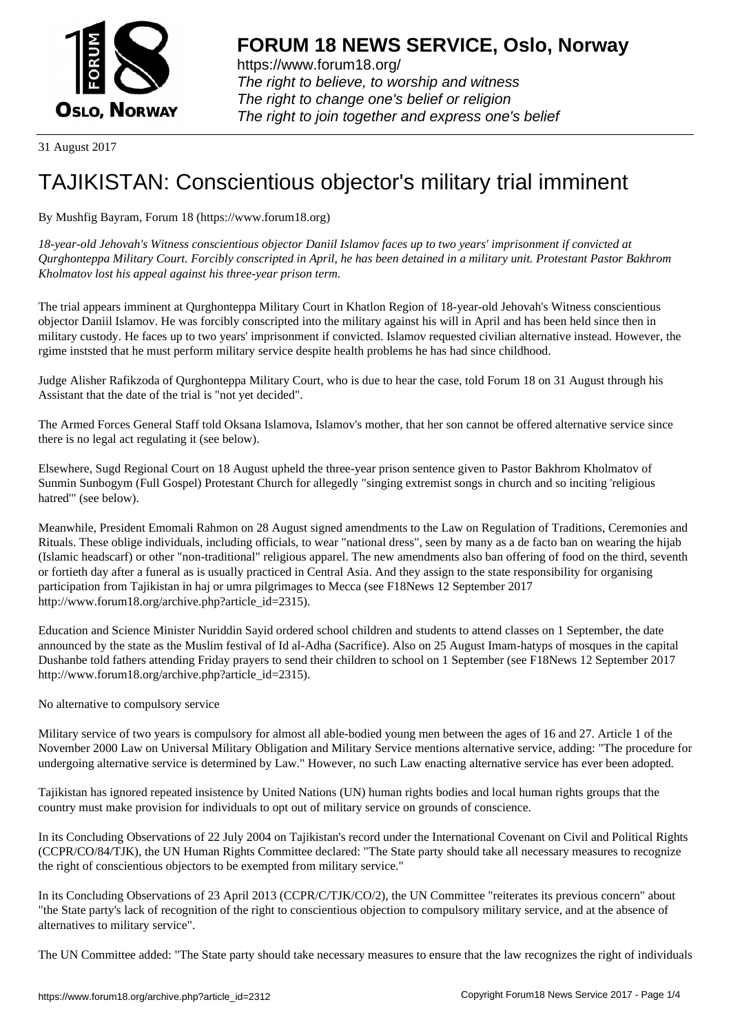

https://www.forum18.org/ The right to believe, to worship and witness The right to change one's belief or religion [The right to join together a](https://www.forum18.org/)nd express one's belief

31 August 2017

## [TAJIKISTAN: C](https://www.forum18.org)onscientious objector's military trial imminent

By Mushfig Bayram, Forum 18 (https://www.forum18.org)

*18-year-old Jehovah's Witness conscientious objector Daniil Islamov faces up to two years' imprisonment if convicted at Qurghonteppa Military Court. Forcibly conscripted in April, he has been detained in a military unit. Protestant Pastor Bakhrom Kholmatov lost his appeal against his three-year prison term.*

The trial appears imminent at Qurghonteppa Military Court in Khatlon Region of 18-year-old Jehovah's Witness conscientious objector Daniil Islamov. He was forcibly conscripted into the military against his will in April and has been held since then in military custody. He faces up to two years' imprisonment if convicted. Islamov requested civilian alternative instead. However, the rgime inststed that he must perform military service despite health problems he has had since childhood.

Judge Alisher Rafikzoda of Qurghonteppa Military Court, who is due to hear the case, told Forum 18 on 31 August through his Assistant that the date of the trial is "not yet decided".

The Armed Forces General Staff told Oksana Islamova, Islamov's mother, that her son cannot be offered alternative service since there is no legal act regulating it (see below).

Elsewhere, Sugd Regional Court on 18 August upheld the three-year prison sentence given to Pastor Bakhrom Kholmatov of Sunmin Sunbogym (Full Gospel) Protestant Church for allegedly "singing extremist songs in church and so inciting 'religious hatred'" (see below).

Meanwhile, President Emomali Rahmon on 28 August signed amendments to the Law on Regulation of Traditions, Ceremonies and Rituals. These oblige individuals, including officials, to wear "national dress", seen by many as a de facto ban on wearing the hijab (Islamic headscarf) or other "non-traditional" religious apparel. The new amendments also ban offering of food on the third, seventh or fortieth day after a funeral as is usually practiced in Central Asia. And they assign to the state responsibility for organising participation from Tajikistan in haj or umra pilgrimages to Mecca (see F18News 12 September 2017 http://www.forum18.org/archive.php?article\_id=2315).

Education and Science Minister Nuriddin Sayid ordered school children and students to attend classes on 1 September, the date announced by the state as the Muslim festival of Id al-Adha (Sacrifice). Also on 25 August Imam-hatyps of mosques in the capital Dushanbe told fathers attending Friday prayers to send their children to school on 1 September (see F18News 12 September 2017 http://www.forum18.org/archive.php?article\_id=2315).

No alternative to compulsory service

Military service of two years is compulsory for almost all able-bodied young men between the ages of 16 and 27. Article 1 of the November 2000 Law on Universal Military Obligation and Military Service mentions alternative service, adding: "The procedure for undergoing alternative service is determined by Law." However, no such Law enacting alternative service has ever been adopted.

Tajikistan has ignored repeated insistence by United Nations (UN) human rights bodies and local human rights groups that the country must make provision for individuals to opt out of military service on grounds of conscience.

In its Concluding Observations of 22 July 2004 on Tajikistan's record under the International Covenant on Civil and Political Rights (CCPR/CO/84/TJK), the UN Human Rights Committee declared: "The State party should take all necessary measures to recognize the right of conscientious objectors to be exempted from military service."

In its Concluding Observations of 23 April 2013 (CCPR/C/TJK/CO/2), the UN Committee "reiterates its previous concern" about "the State party's lack of recognition of the right to conscientious objection to compulsory military service, and at the absence of alternatives to military service".

The UN Committee added: "The State party should take necessary measures to ensure that the law recognizes the right of individuals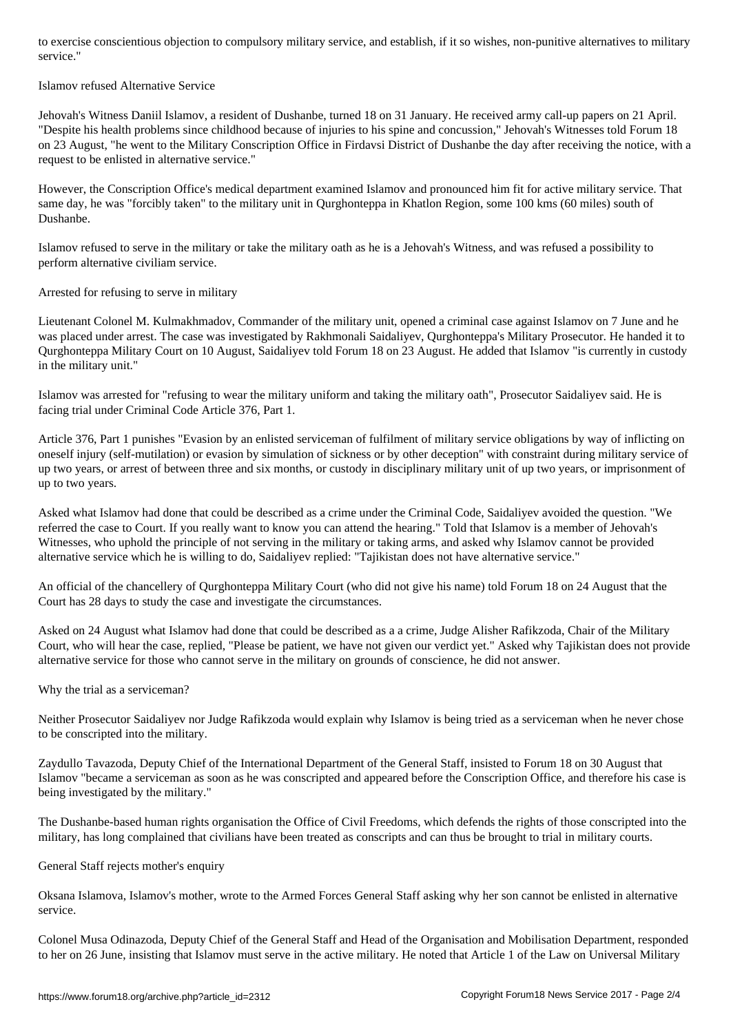## Islamov refused Alternative Service

Jehovah's Witness Daniil Islamov, a resident of Dushanbe, turned 18 on 31 January. He received army call-up papers on 21 April. "Despite his health problems since childhood because of injuries to his spine and concussion," Jehovah's Witnesses told Forum 18 on 23 August, "he went to the Military Conscription Office in Firdavsi District of Dushanbe the day after receiving the notice, with a request to be enlisted in alternative service."

However, the Conscription Office's medical department examined Islamov and pronounced him fit for active military service. That same day, he was "forcibly taken" to the military unit in Qurghonteppa in Khatlon Region, some 100 kms (60 miles) south of Dushanbe.

Islamov refused to serve in the military or take the military oath as he is a Jehovah's Witness, and was refused a possibility to perform alternative civiliam service.

Arrested for refusing to serve in military

Lieutenant Colonel M. Kulmakhmadov, Commander of the military unit, opened a criminal case against Islamov on 7 June and he was placed under arrest. The case was investigated by Rakhmonali Saidaliyev, Qurghonteppa's Military Prosecutor. He handed it to Qurghonteppa Military Court on 10 August, Saidaliyev told Forum 18 on 23 August. He added that Islamov "is currently in custody in the military unit."

Islamov was arrested for "refusing to wear the military uniform and taking the military oath", Prosecutor Saidaliyev said. He is facing trial under Criminal Code Article 376, Part 1.

Article 376, Part 1 punishes "Evasion by an enlisted serviceman of fulfilment of military service obligations by way of inflicting on oneself injury (self-mutilation) or evasion by simulation of sickness or by other deception" with constraint during military service of up two years, or arrest of between three and six months, or custody in disciplinary military unit of up two years, or imprisonment of up to two years.

Asked what Islamov had done that could be described as a crime under the Criminal Code, Saidaliyev avoided the question. "We referred the case to Court. If you really want to know you can attend the hearing." Told that Islamov is a member of Jehovah's Witnesses, who uphold the principle of not serving in the military or taking arms, and asked why Islamov cannot be provided alternative service which he is willing to do, Saidaliyev replied: "Tajikistan does not have alternative service."

An official of the chancellery of Qurghonteppa Military Court (who did not give his name) told Forum 18 on 24 August that the Court has 28 days to study the case and investigate the circumstances.

Asked on 24 August what Islamov had done that could be described as a a crime, Judge Alisher Rafikzoda, Chair of the Military Court, who will hear the case, replied, "Please be patient, we have not given our verdict yet." Asked why Tajikistan does not provide alternative service for those who cannot serve in the military on grounds of conscience, he did not answer.

Why the trial as a serviceman?

Neither Prosecutor Saidaliyev nor Judge Rafikzoda would explain why Islamov is being tried as a serviceman when he never chose to be conscripted into the military.

Zaydullo Tavazoda, Deputy Chief of the International Department of the General Staff, insisted to Forum 18 on 30 August that Islamov "became a serviceman as soon as he was conscripted and appeared before the Conscription Office, and therefore his case is being investigated by the military."

The Dushanbe-based human rights organisation the Office of Civil Freedoms, which defends the rights of those conscripted into the military, has long complained that civilians have been treated as conscripts and can thus be brought to trial in military courts.

General Staff rejects mother's enquiry

Oksana Islamova, Islamov's mother, wrote to the Armed Forces General Staff asking why her son cannot be enlisted in alternative service.

Colonel Musa Odinazoda, Deputy Chief of the General Staff and Head of the Organisation and Mobilisation Department, responded to her on 26 June, insisting that Islamov must serve in the active military. He noted that Article 1 of the Law on Universal Military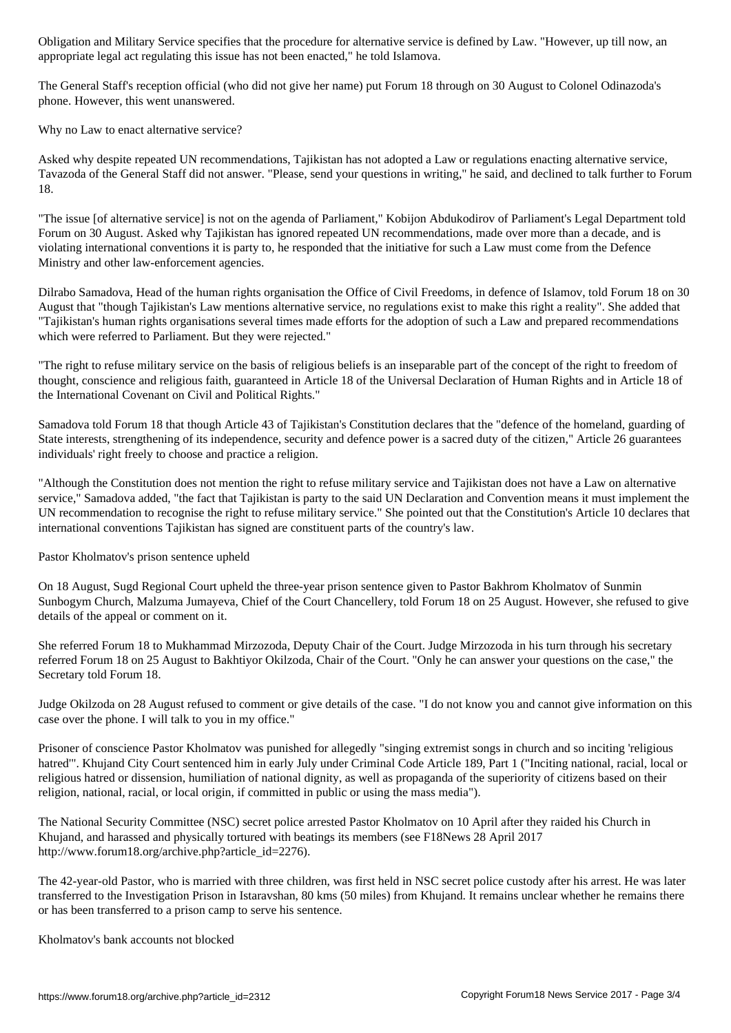appropriate legal act regulating this issue has not been enacted," he told Islamova.

The General Staff's reception official (who did not give her name) put Forum 18 through on 30 August to Colonel Odinazoda's phone. However, this went unanswered.

Why no Law to enact alternative service?

Asked why despite repeated UN recommendations, Tajikistan has not adopted a Law or regulations enacting alternative service, Tavazoda of the General Staff did not answer. "Please, send your questions in writing," he said, and declined to talk further to Forum 18.

"The issue [of alternative service] is not on the agenda of Parliament," Kobijon Abdukodirov of Parliament's Legal Department told Forum on 30 August. Asked why Tajikistan has ignored repeated UN recommendations, made over more than a decade, and is violating international conventions it is party to, he responded that the initiative for such a Law must come from the Defence Ministry and other law-enforcement agencies.

Dilrabo Samadova, Head of the human rights organisation the Office of Civil Freedoms, in defence of Islamov, told Forum 18 on 30 August that "though Tajikistan's Law mentions alternative service, no regulations exist to make this right a reality". She added that "Tajikistan's human rights organisations several times made efforts for the adoption of such a Law and prepared recommendations which were referred to Parliament. But they were rejected."

"The right to refuse military service on the basis of religious beliefs is an inseparable part of the concept of the right to freedom of thought, conscience and religious faith, guaranteed in Article 18 of the Universal Declaration of Human Rights and in Article 18 of the International Covenant on Civil and Political Rights."

Samadova told Forum 18 that though Article 43 of Tajikistan's Constitution declares that the "defence of the homeland, guarding of State interests, strengthening of its independence, security and defence power is a sacred duty of the citizen," Article 26 guarantees individuals' right freely to choose and practice a religion.

"Although the Constitution does not mention the right to refuse military service and Tajikistan does not have a Law on alternative service," Samadova added, "the fact that Tajikistan is party to the said UN Declaration and Convention means it must implement the UN recommendation to recognise the right to refuse military service." She pointed out that the Constitution's Article 10 declares that international conventions Tajikistan has signed are constituent parts of the country's law.

Pastor Kholmatov's prison sentence upheld

On 18 August, Sugd Regional Court upheld the three-year prison sentence given to Pastor Bakhrom Kholmatov of Sunmin Sunbogym Church, Malzuma Jumayeva, Chief of the Court Chancellery, told Forum 18 on 25 August. However, she refused to give details of the appeal or comment on it.

She referred Forum 18 to Mukhammad Mirzozoda, Deputy Chair of the Court. Judge Mirzozoda in his turn through his secretary referred Forum 18 on 25 August to Bakhtiyor Okilzoda, Chair of the Court. "Only he can answer your questions on the case," the Secretary told Forum 18.

Judge Okilzoda on 28 August refused to comment or give details of the case. "I do not know you and cannot give information on this case over the phone. I will talk to you in my office."

Prisoner of conscience Pastor Kholmatov was punished for allegedly "singing extremist songs in church and so inciting 'religious hatred'". Khujand City Court sentenced him in early July under Criminal Code Article 189, Part 1 ("Inciting national, racial, local or religious hatred or dissension, humiliation of national dignity, as well as propaganda of the superiority of citizens based on their religion, national, racial, or local origin, if committed in public or using the mass media").

The National Security Committee (NSC) secret police arrested Pastor Kholmatov on 10 April after they raided his Church in Khujand, and harassed and physically tortured with beatings its members (see F18News 28 April 2017 http://www.forum18.org/archive.php?article\_id=2276).

The 42-year-old Pastor, who is married with three children, was first held in NSC secret police custody after his arrest. He was later transferred to the Investigation Prison in Istaravshan, 80 kms (50 miles) from Khujand. It remains unclear whether he remains there or has been transferred to a prison camp to serve his sentence.

Kholmatov's bank accounts not blocked